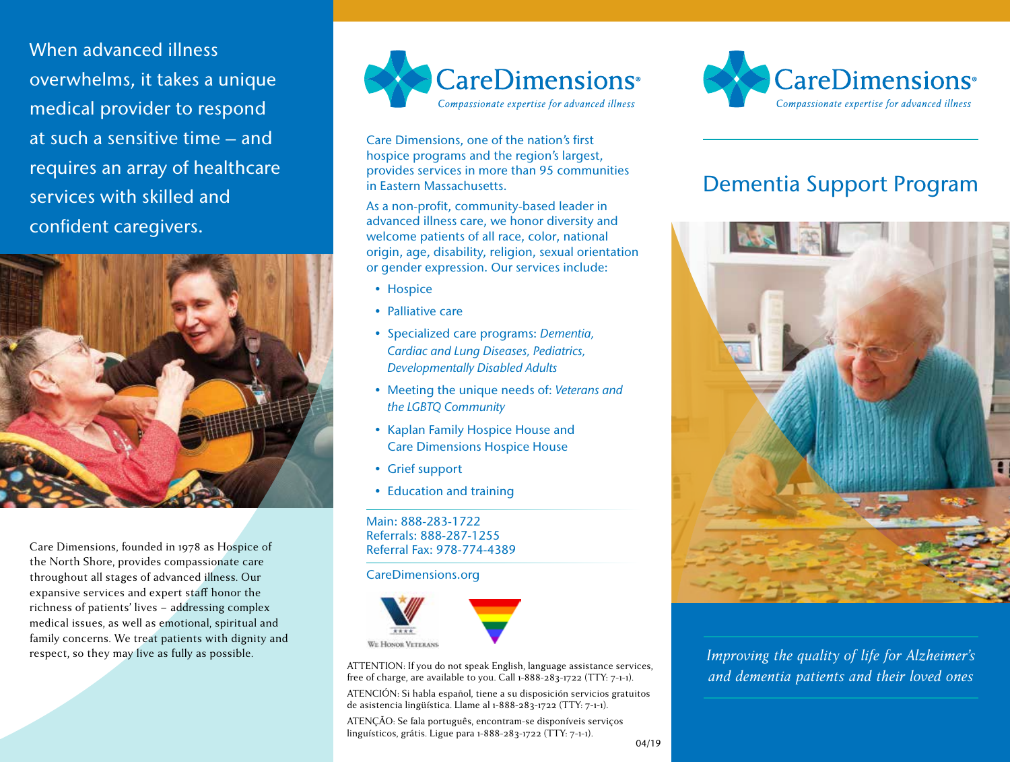When advanced illness overwhelms, it takes a unique medical provider to respond at such a sensitive time – and requires an array of healthcare services with skilled and confident caregivers.



Care Dimensions, founded in 1978 as Hospice of the North Shore, provides compassionate care throughout all stages of advanced illness. Our expansive services and expert staff honor the richness of patients' lives – addressing complex medical issues, as well as emotional, spiritual and family concerns. We treat patients with dignity and respect, so they may live as fully as possible.



Care Dimensions, one of the nation's first hospice programs and the region's largest, provides services in more than 95 communities in Eastern Massachusetts.

As a non-profit, community-based leader in advanced illness care, we honor diversity and welcome patients of all race, color, national origin, age, disability, religion, sexual orientation or gender expression. Our services include:

- Hospice
- Palliative care
- Specialized care programs: *Dementia, Cardiac and Lung Diseases, Pediatrics, Developmentally Disabled Adults*
- Meeting the unique needs of: *Veterans and the LGBTQ Community*
- Kaplan Family Hospice House and Care Dimensions Hospice House
- Grief support
- Education and training

Main: 888-283-1722 Referrals: 888-287-1255 Referral Fax: 978-774-4389

CareDimensions.org



ATTENTION: If you do not speak English, language assistance services, free of charge, are available to you. Call 1-888-283-1722 (TTY: 7-1-1).

ATENCIÓN: Si habla español, tiene a su disposición servicios gratuitos de asistencia lingüística. Llame al 1-888-283-1722 (TTY: 7-1-1).

ATENÇÃO: Se fala português, encontram-se disponíveis serviços linguísticos, grátis. Ligue para 1-888-283-1722 (TTY: 7-1-1).



# Dementia Support Program



*Improving the quality of life for Alzheimer's and dementia patients and their loved ones*